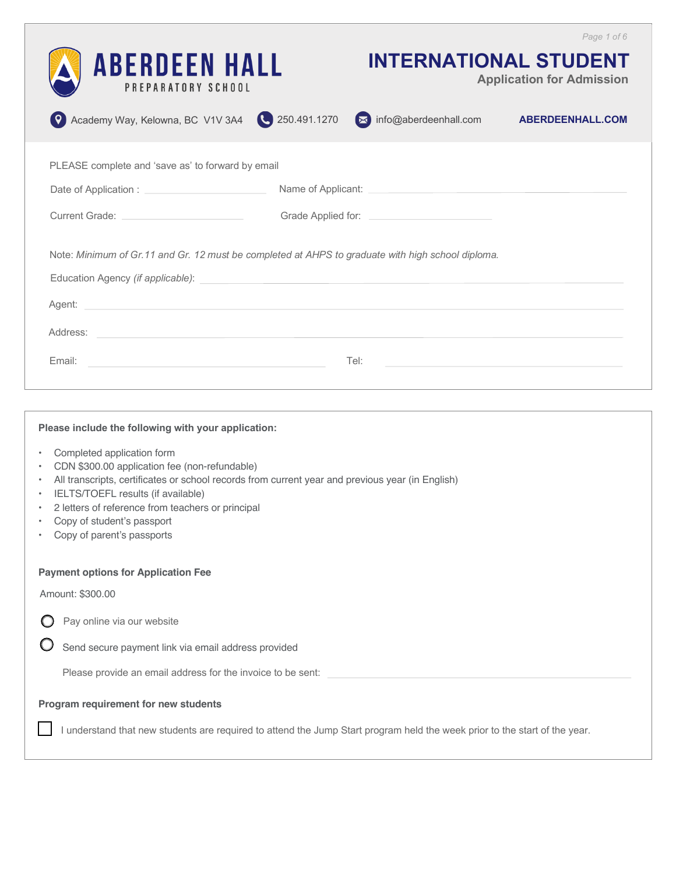|                                                                                                                                                                                                                                                                                                                                |                                                                                                                                                                                                                                      |                       | Page 1 of 6                                                      |  |  |  |
|--------------------------------------------------------------------------------------------------------------------------------------------------------------------------------------------------------------------------------------------------------------------------------------------------------------------------------|--------------------------------------------------------------------------------------------------------------------------------------------------------------------------------------------------------------------------------------|-----------------------|------------------------------------------------------------------|--|--|--|
| <b>ABERDEEN HALL</b><br>PREPARATORY SCHOOL                                                                                                                                                                                                                                                                                     |                                                                                                                                                                                                                                      |                       | <b>INTERNATIONAL STUDENT</b><br><b>Application for Admission</b> |  |  |  |
| Academy Way, Kelowna, BC V1V 3A4 250.491.1270                                                                                                                                                                                                                                                                                  |                                                                                                                                                                                                                                      | info@aberdeenhall.com | <b>ABERDEENHALL.COM</b>                                          |  |  |  |
| PLEASE complete and 'save as' to forward by email                                                                                                                                                                                                                                                                              |                                                                                                                                                                                                                                      |                       |                                                                  |  |  |  |
| Date of Application : <u>contract and the set of Application</u>                                                                                                                                                                                                                                                               |                                                                                                                                                                                                                                      |                       |                                                                  |  |  |  |
|                                                                                                                                                                                                                                                                                                                                | Current Grade: <u>contract and contract and contract and contract and contract and contract and contract and contract and contract and contract and contract and contract and contract and contract and contract and contract an</u> |                       |                                                                  |  |  |  |
| Note: Minimum of Gr.11 and Gr. 12 must be completed at AHPS to graduate with high school diploma.<br>Education Agency (if applicable):                                                                                                                                                                                         |                                                                                                                                                                                                                                      |                       |                                                                  |  |  |  |
| Agent: Agent: Agent: Agent: Agent: Agent: Agent: Agent: Agent: Agent: Agent: Agent: Agent: Agent: Agent: Agent: Agent: Agent: Agent: Agent: Agent: Agent: Agent: Agent: Agent: Agent: Agent: Agent: Agent: Agent: Agent: Agent                                                                                                 |                                                                                                                                                                                                                                      |                       |                                                                  |  |  |  |
| Address:                                                                                                                                                                                                                                                                                                                       |                                                                                                                                                                                                                                      |                       |                                                                  |  |  |  |
| Email:                                                                                                                                                                                                                                                                                                                         |                                                                                                                                                                                                                                      | Tel:                  |                                                                  |  |  |  |
|                                                                                                                                                                                                                                                                                                                                |                                                                                                                                                                                                                                      |                       |                                                                  |  |  |  |
| Please include the following with your application:                                                                                                                                                                                                                                                                            |                                                                                                                                                                                                                                      |                       |                                                                  |  |  |  |
| Completed application form<br>$\bullet$<br>CDN \$300.00 application fee (non-refundable)<br>$\bullet$<br>All transcripts, certificates or school records from current year and previous year (in English)<br>$\bullet$<br>IELTS/TOEFL results (if available)<br>$\bullet$<br>2 letters of reference from teachers or principal |                                                                                                                                                                                                                                      |                       |                                                                  |  |  |  |

- Copy of student's passport
- Copy of parent's passports

#### **Payment options for Application Fee**

Amount: \$300.00

 $\bigcirc$  Pay online via our website

 $\bigcirc$  Send secure payment link via email address provided

Please provide an email address for the invoice to be sent:

### **Program requirement for new students**

I understand that new students are required to attend the Jump Start program held the week prior to the start of the year.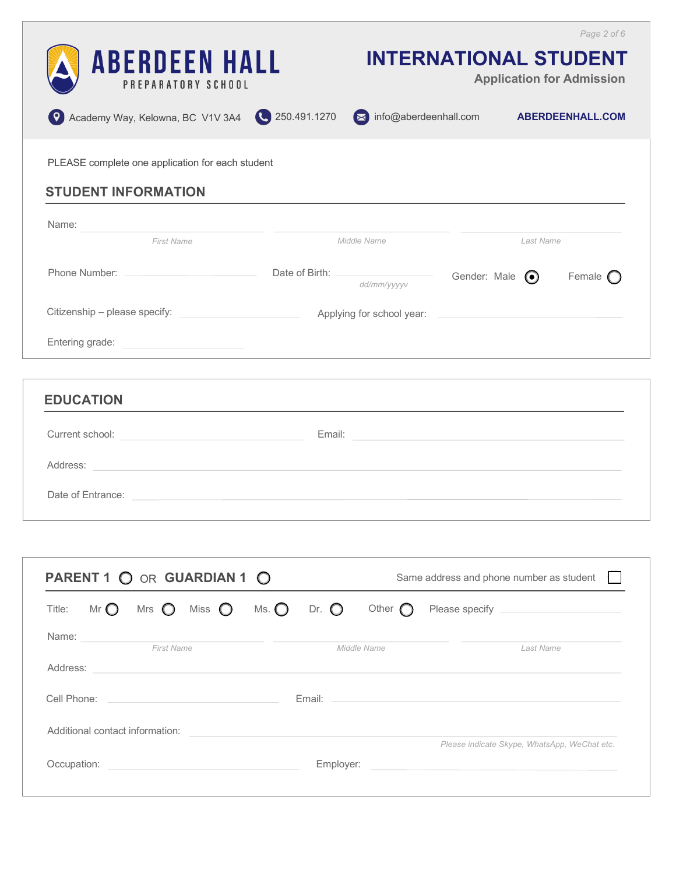| <b>ABERDEEN HALL</b><br>PREPARATORY SCHOOL<br>Academy Way, Kelowna, BC V1V 3A4 250.491.1270                                                                                                                                                                                                                                                                                                                                                                            | <b>INTERNATIONAL STUDENT</b><br>info@aberdeenhall.com                                                                                                                                                                          |              |           | Page 2 of 6<br><b>Application for Admission</b><br><b>ABERDEENHALL.COM</b> |
|------------------------------------------------------------------------------------------------------------------------------------------------------------------------------------------------------------------------------------------------------------------------------------------------------------------------------------------------------------------------------------------------------------------------------------------------------------------------|--------------------------------------------------------------------------------------------------------------------------------------------------------------------------------------------------------------------------------|--------------|-----------|----------------------------------------------------------------------------|
| PLEASE complete one application for each student<br><b>STUDENT INFORMATION</b>                                                                                                                                                                                                                                                                                                                                                                                         |                                                                                                                                                                                                                                |              |           |                                                                            |
| Name:<br><u> 1980 - Jan Stern Stern Stern Stern Stern Stern Stern Stern Stern Stern Stern Stern Stern Stern Stern Stern St</u><br><b>First Name</b>                                                                                                                                                                                                                                                                                                                    | Middle Name                                                                                                                                                                                                                    |              | Last Name |                                                                            |
|                                                                                                                                                                                                                                                                                                                                                                                                                                                                        | dd/mm/yyyyv                                                                                                                                                                                                                    | Gender: Male | $\odot$   | Female $\bigcap$                                                           |
|                                                                                                                                                                                                                                                                                                                                                                                                                                                                        |                                                                                                                                                                                                                                |              |           |                                                                            |
| <b>EDUCATION</b>                                                                                                                                                                                                                                                                                                                                                                                                                                                       |                                                                                                                                                                                                                                |              |           |                                                                            |
| Current school: <u>with a series of the series of the series of the series of the series of the series of the series of the series of the series of the series of the series of the series of the series of the series of the se</u>                                                                                                                                                                                                                                   | Email: Email: Email: Email: Email: Email: Email: Email: Email: Email: Email: Email: Email: Email: Email: Email: Email: Email: Email: Email: Email: Email: Email: Email: Email: Email: Email: Email: Email: Email: Email: Email |              |           |                                                                            |
| Address: the contract of the contract of the contract of the contract of the contract of the contract of the contract of the contract of the contract of the contract of the contract of the contract of the contract of the c<br>Date of Entrance: <u>example and a series of the series of the series of the series of the series of the series of the series of the series of the series of the series of the series of the series of the series of the series </u> |                                                                                                                                                                                                                                |              |           |                                                                            |

|          | PARENT 1 O OR GUARDIAN 1 O |                                 |                                | Same address and phone number as student             |                |                 |                                              |
|----------|----------------------------|---------------------------------|--------------------------------|------------------------------------------------------|----------------|-----------------|----------------------------------------------|
| Title:   | Mr $\bigcirc$              | Mrs $\bigcirc$                  | Miss $\bigcirc$ Ms. $\bigcirc$ |                                                      | Dr. $\bigcirc$ | Other $\bigcap$ | Please specify _______________________       |
| Name:    |                            |                                 |                                |                                                      |                |                 |                                              |
|          |                            | <b>First Name</b>               |                                |                                                      |                | Middle Name     | Last Name                                    |
| Address: |                            |                                 |                                |                                                      |                |                 |                                              |
|          |                            |                                 |                                |                                                      |                |                 |                                              |
|          |                            |                                 |                                |                                                      |                |                 |                                              |
|          |                            | Additional contact information: |                                |                                                      |                |                 |                                              |
|          |                            |                                 |                                |                                                      |                |                 | Please indicate Skype, WhatsApp, WeChat etc. |
|          | Occupation:                |                                 |                                | <u> 1980 - Jan Barnett, fransk politik (d. 1980)</u> | Employer:      |                 |                                              |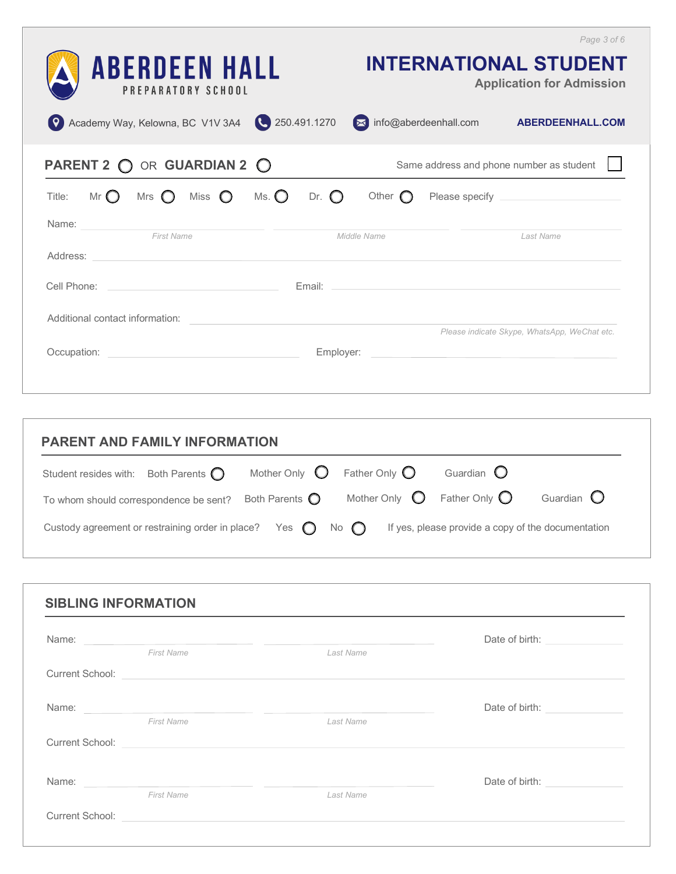| <b>ABERDEEN HALL</b><br>PREPARATORY SCHOOL<br>250.491.1270<br>Academy Way, Kelowna, BC V1V 3A4                                                                                                                                                    | Page 3 of 6<br><b>INTERNATIONAL STUDENT</b><br><b>Application for Admission</b><br>mfo@aberdeenhall.com<br><b>ABERDEENHALL.COM</b>                                    |
|---------------------------------------------------------------------------------------------------------------------------------------------------------------------------------------------------------------------------------------------------|-----------------------------------------------------------------------------------------------------------------------------------------------------------------------|
| PARENT 2 O OR GUARDIAN 2 O                                                                                                                                                                                                                        | Same address and phone number as student                                                                                                                              |
| Ms. $\bigcirc$<br>Mr $\bigcirc$<br>Miss $\bigcirc$<br>Dr. $\bigcirc$<br>Mrs $\bigcirc$<br>Title:                                                                                                                                                  | Other $\bigcap$                                                                                                                                                       |
| Name:<br><u> 1980 - Jan Barbara Barbara, manazarta da kasas da kasas da kasas da kasas da kasas da kasas da kasas da kasa</u><br><b>First Name</b><br>Address:<br>the contract of the contract of the contract of the contract of the contract of | Middle Name<br>Last Name                                                                                                                                              |
| Cell Phone:<br>the control of the control of the control of the control of the control of                                                                                                                                                         |                                                                                                                                                                       |
| Additional contact information:                                                                                                                                                                                                                   |                                                                                                                                                                       |
| Occupation:<br>Employer:<br><u> 1989 - Johann Harry Harry Harry Harry Harry Harry Harry Harry Harry Harry Harry Harry Harry Harry Harry Harry</u>                                                                                                 | Please indicate Skype, WhatsApp, WeChat etc.<br><u> 1980 - John Stein, mars and de Branch and de Branch and de Branch and de Branch and de Branch and de Branch a</u> |

| <b>PARENT AND FAMILY INFORMATION</b>                                          |  |                                               |                                               |                                                    |                     |  |
|-------------------------------------------------------------------------------|--|-----------------------------------------------|-----------------------------------------------|----------------------------------------------------|---------------------|--|
| Student resides with: Both Parents $\bigcap$                                  |  | Mother Only $\bigcirc$ Father Only $\bigcirc$ |                                               | Guardian $\mathbf O$                               |                     |  |
| To whom should correspondence be sent?                                        |  | Both Parents $\bigcirc$                       | Mother Only $\bigcirc$ Father Only $\bigcirc$ |                                                    | Guardian $\bigcirc$ |  |
| Custody agreement or restraining order in place? Yes $\bigcirc$ No $\bigcirc$ |  |                                               |                                               | If yes, please provide a copy of the documentation |                     |  |

|                   | Name: Name: Name: Name: Name: Name: Name: Name: Name: Name: Name: Name: Name: Name: Name: Name: Name: Name: Name: Name: Name: Name: Name: Name: Name: Name: Name: Name: Name: Name: Name: Name: Name: Name: Name: Name: Name: | Date of birth: _______________     |
|-------------------|-------------------------------------------------------------------------------------------------------------------------------------------------------------------------------------------------------------------------------|------------------------------------|
| <b>First Name</b> | Last Name                                                                                                                                                                                                                     |                                    |
|                   | Current School: <b>Example 2018</b>                                                                                                                                                                                           |                                    |
|                   | Name: Name: Name: Name: Name: Name: Name: Name: Name: Name: Name: Name: Name: Name: Name: Name: Name: Name: Name: Name: Name: Name: Name: Name: Name: Name: Name: Name: Name: Name: Name: Name: Name: Name: Name: Name: Name: | Date of birth: ________________    |
| <b>First Name</b> | Last Name                                                                                                                                                                                                                     |                                    |
|                   | Current School: Executive Current School:                                                                                                                                                                                     |                                    |
|                   | Name: Name: Name: Name: Name: Name: Name: Name: Name: Name: Name: Name: Name: Name: Name: Name: Name: Name: Name: Name: Name: Name: Name: Name: Name: Name: Name: Name: Name: Name: Name: Name: Name: Name: Name: Name: Name: | Date of birth: <b>Example 2014</b> |
| <b>First Name</b> | Last Name                                                                                                                                                                                                                     |                                    |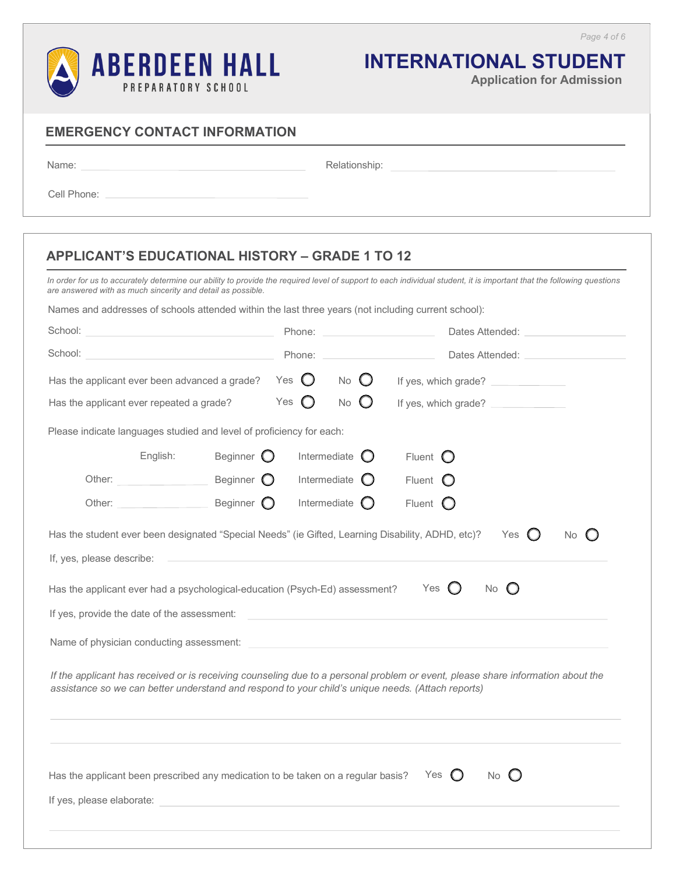

# **INTERNATIONAL STUDENT**

**Application for Admission**

Name: when the contract of the contract of the contract of the contract of the contract of the contract of the contract of the contract of the contract of the contract of the contract of the contract of the contract of the

Relationship: example and the set of the set of the set of the set of the set of the set of the set of the set of the set of the set of the set of the set of the set of the set of the set of the set of the set of the set o

Cell Phone: \_\_

## **APPLICANT'S EDUCATIONAL HISTORY – GRADE 1 TO 12**

*In order for us to accurately determine our ability to provide the required level of support to each individual student, it is important that the following questions are answered with as much sincerity and detail as possible.*

Names and addresses of schools attended within the last three years (not including current school):

| School:<br>the control of the control of the control of the control of                                                         | Phone:                                                                         | Dates Attended:                          |                                                                                                                                 |  |
|--------------------------------------------------------------------------------------------------------------------------------|--------------------------------------------------------------------------------|------------------------------------------|---------------------------------------------------------------------------------------------------------------------------------|--|
| School:                                                                                                                        | Phone:                                                                         | Dates Attended: _____________            |                                                                                                                                 |  |
| Has the applicant ever been advanced a grade?                                                                                  | Yes $\bigcirc$<br><b>No</b><br>$\left( \begin{array}{c} 1 \end{array} \right)$ |                                          | If yes, which grade?                                                                                                            |  |
| Has the applicant ever repeated a grade?                                                                                       | Yes $\bigcirc$                                                                 | $\bigcirc$<br>No<br>If yes, which grade? |                                                                                                                                 |  |
| Please indicate languages studied and level of proficiency for each:                                                           |                                                                                |                                          |                                                                                                                                 |  |
| Beginner $\bigcirc$<br>English:                                                                                                |                                                                                | Intermediate $\bigcirc$                  | Fluent $\bigcirc$                                                                                                               |  |
| Beginner O<br>Other:                                                                                                           |                                                                                | Intermediate $\bigcirc$                  | Fluent $\bigcirc$                                                                                                               |  |
| Other: Beginner O                                                                                                              |                                                                                | Intermediate                             | Fluent $\bigcirc$                                                                                                               |  |
| Has the student ever been designated "Special Needs" (ie Gifted, Learning Disability, ADHD, etc)?<br>If, yes, please describe: |                                                                                |                                          | Yes<br>No $\bigcirc$<br>$\left( \begin{array}{c} \end{array} \right)$                                                           |  |
| Has the applicant ever had a psychological-education (Psych-Ed) assessment?                                                    |                                                                                |                                          | $\circ$<br>Yes<br>$\left( \begin{array}{c} 1 \end{array} \right)$<br><b>No</b>                                                  |  |
| If yes, provide the date of the assessment:                                                                                    |                                                                                |                                          | <u> 1989 - John Stein, mars and de Britain and de Britain and de Britain and de Britain and de Britain and de Br</u>            |  |
|                                                                                                                                |                                                                                |                                          |                                                                                                                                 |  |
| assistance so we can better understand and respond to your child's unique needs. (Attach reports)                              |                                                                                |                                          | If the applicant has received or is receiving counseling due to a personal problem or event, please share information about the |  |
| Has the applicant been prescribed any medication to be taken on a regular basis?<br>If yes, please elaborate:                  |                                                                                |                                          | No $\bigcirc$<br>Yes<br>$\left( \begin{array}{c} 1 \end{array} \right)$                                                         |  |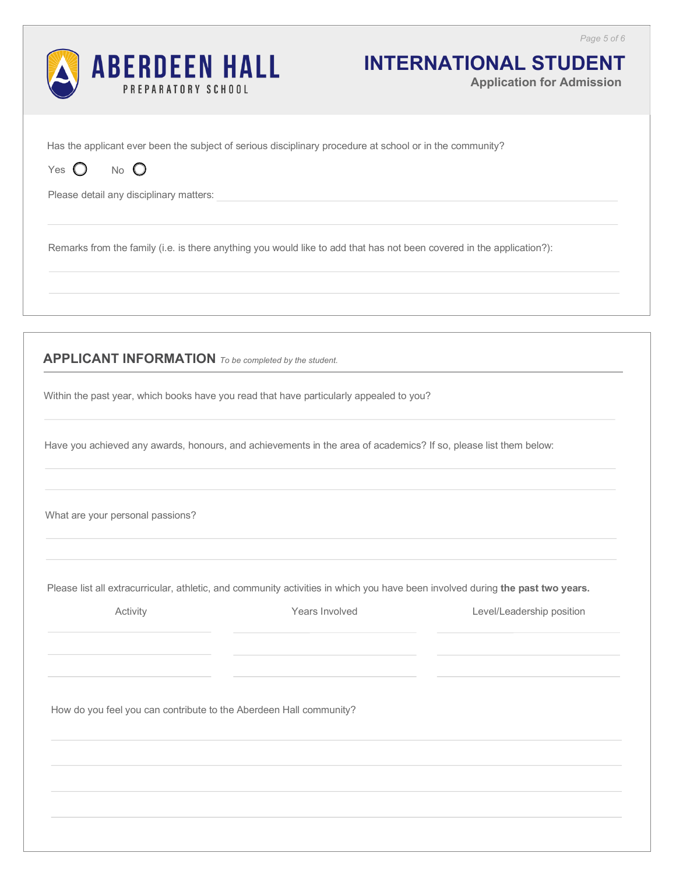

# **INTERNATIONAL STUDENT**

**Application for Admission**

Has the applicant ever been the subject of serious disciplinary procedure at school or in the community?

Yes  $O$  No  $O$ 

Please detail any disciplinary matters:

Remarks from the family (i.e. is there anything you would like to add that has not been covered in the application?):

**APPLICANT INFORMATION** *To be completed by the student.*

Within the past year, which books have you read that have particularly appealed to you?

Have you achieved any awards, honours, and achievements in the area of academics? If so, please list them below:

What are your personal passions?

Please list all extracurricular, athletic, and community activities in which you have been involved during **the past two years.**

Activity **Activity** *Mears Involved* **Level/Leadership position** *Christian Level Christian Christian Christian Christian Christian Christian Christian Christian Christian Christian Christian Chr* 

How do you feel you can contribute to the Aberdeen Hall community?